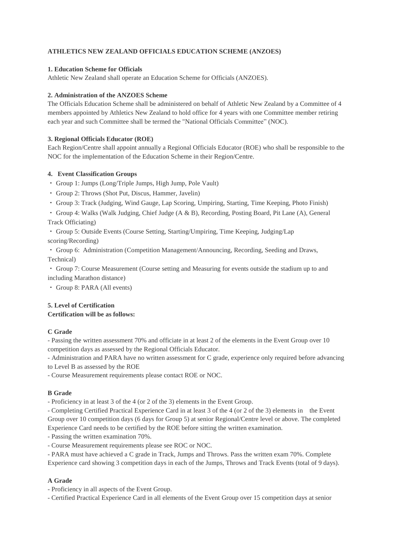# **ATHLETICS NEW ZEALAND OFFICIALS EDUCATION SCHEME (ANZOES)**

## **1. Education Scheme for Officials**

Athletic New Zealand shall operate an Education Scheme for Officials (ANZOES).

## **2. Administration of the ANZOES Scheme**

The Officials Education Scheme shall be administered on behalf of Athletic New Zealand by a Committee of 4 members appointed by Athletics New Zealand to hold office for 4 years with one Committee member retiring each year and such Committee shall be termed the "National Officials Committee" (NOC).

## **3. Regional Officials Educator (ROE)**

Each Region/Centre shall appoint annually a Regional Officials Educator (ROE) who shall be responsible to the NOC for the implementation of the Education Scheme in their Region/Centre.

## **4. Event Classification Groups**

・ Group 1: Jumps (Long/Triple Jumps, High Jump, Pole Vault)

- ・ Group 2: Throws (Shot Put, Discus, Hammer, Javelin)
- ・ Group 3: Track (Judging, Wind Gauge, Lap Scoring, Umpiring, Starting, Time Keeping, Photo Finish)

・ Group 4: Walks (Walk Judging, Chief Judge (A & B), Recording, Posting Board, Pit Lane (A), General Track Officiating)

・ Group 5: Outside Events (Course Setting, Starting/Umpiring, Time Keeping, Judging/Lap

scoring/Recording)

・ Group 6: Administration (Competition Management/Announcing, Recording, Seeding and Draws, Technical)

・ Group 7: Course Measurement (Course setting and Measuring for events outside the stadium up to and including Marathon distance)

・ Group 8: PARA (All events)

### **5. Level of Certification Certification will be as follows:**

## **C Grade**

- Passing the written assessment 70% and officiate in at least 2 of the elements in the Event Group over 10 competition days as assessed by the Regional Officials Educator.

- Administration and PARA have no written assessment for C grade, experience only required before advancing to Level B as assessed by the ROE

- Course Measurement requirements please contact ROE or NOC.

## **B Grade**

- Proficiency in at least 3 of the 4 (or 2 of the 3) elements in the Event Group.

- Completing Certified Practical Experience Card in at least 3 of the 4 (or 2 of the 3) elements in the Event Group over 10 competition days (6 days for Group 5) at senior Regional/Centre level or above. The completed Experience Card needs to be certified by the ROE before sitting the written examination.

- Passing the written examination 70%.

- Course Measurement requirements please see ROC or NOC.

- PARA must have achieved a C grade in Track, Jumps and Throws. Pass the written exam 70%. Complete Experience card showing 3 competition days in each of the Jumps, Throws and Track Events (total of 9 days).

## **A Grade**

- Proficiency in all aspects of the Event Group.

- Certified Practical Experience Card in all elements of the Event Group over 15 competition days at senior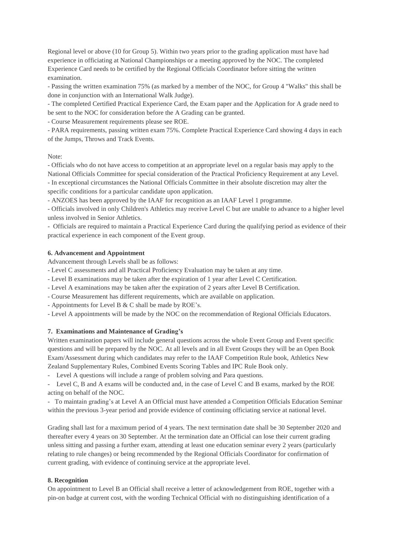Regional level or above (10 for Group 5). Within two years prior to the grading application must have had experience in officiating at National Championships or a meeting approved by the NOC. The completed Experience Card needs to be certified by the Regional Officials Coordinator before sitting the written examination.

- Passing the written examination 75% (as marked by a member of the NOC, for Group 4 "Walks" this shall be done in conjunction with an International Walk Judge).

- The completed Certified Practical Experience Card, the Exam paper and the Application for A grade need to be sent to the NOC for consideration before the A Grading can be granted.

- Course Measurement requirements please see ROE.

- PARA requirements, passing written exam 75%. Complete Practical Experience Card showing 4 days in each of the Jumps, Throws and Track Events.

Note:

- Officials who do not have access to competition at an appropriate level on a regular basis may apply to the National Officials Committee for special consideration of the Practical Proficiency Requirement at any Level. - In exceptional circumstances the National Officials Committee in their absolute discretion may alter the

specific conditions for a particular candidate upon application.

- ANZOES has been approved by the IAAF for recognition as an IAAF Level 1 programme.

- Officials involved in only Children's Athletics may receive Level C but are unable to advance to a higher level unless involved in Senior Athletics.

- Officials are required to maintain a Practical Experience Card during the qualifying period as evidence of their practical experience in each component of the Event group.

## **6. Advancement and Appointment**

Advancement through Levels shall be as follows:

- Level C assessments and all Practical Proficiency Evaluation may be taken at any time.

- Level B examinations may be taken after the expiration of 1 year after Level C Certification.

- Level A examinations may be taken after the expiration of 2 years after Level B Certification.

- Course Measurement has different requirements, which are available on application.

- Appointments for Level B & C shall be made by ROE's.

- Level A appointments will be made by the NOC on the recommendation of Regional Officials Educators.

## **7. Examinations and Maintenance of Grading's**

Written examination papers will include general questions across the whole Event Group and Event specific questions and will be prepared by the NOC. At all levels and in all Event Groups they will be an Open Book Exam/Assessment during which candidates may refer to the IAAF Competition Rule book, Athletics New Zealand Supplementary Rules, Combined Events Scoring Tables and IPC Rule Book only.

- Level A questions will include a range of problem solving and Para questions.

- Level C, B and A exams will be conducted and, in the case of Level C and B exams, marked by the ROE acting on behalf of the NOC.

- To maintain grading's at Level A an Official must have attended a Competition Officials Education Seminar within the previous 3-year period and provide evidence of continuing officiating service at national level.

Grading shall last for a maximum period of 4 years. The next termination date shall be 30 September 2020 and thereafter every 4 years on 30 September. At the termination date an Official can lose their current grading unless sitting and passing a further exam, attending at least one education seminar every 2 years (particularly relating to rule changes) or being recommended by the Regional Officials Coordinator for confirmation of current grading, with evidence of continuing service at the appropriate level.

## **8. Recognition**

On appointment to Level B an Official shall receive a letter of acknowledgement from ROE, together with a pin-on badge at current cost, with the wording Technical Official with no distinguishing identification of a